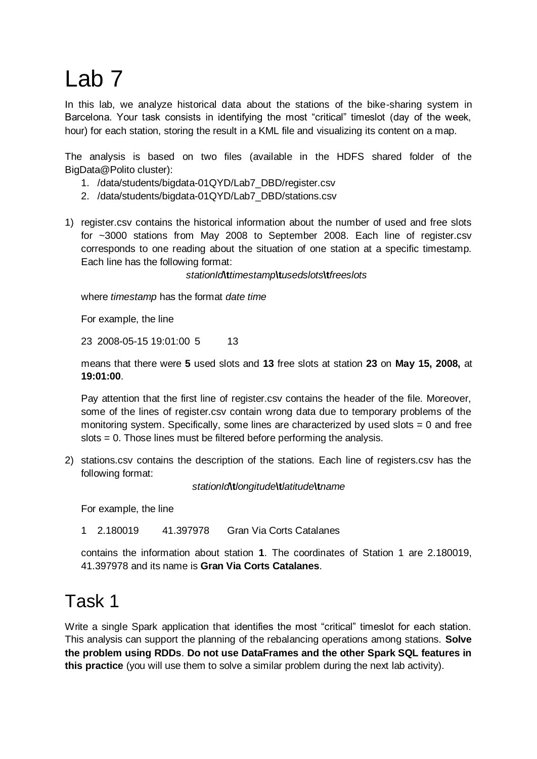# Lab 7

In this lab, we analyze historical data about the stations of the bike-sharing system in Barcelona. Your task consists in identifying the most "critical" timeslot (day of the week, hour) for each station, storing the result in a KML file and visualizing its content on a map.

The analysis is based on two files (available in the HDFS shared folder of the BigData@Polito cluster):

- 1. /data/students/bigdata-01QYD/Lab7\_DBD/register.csv
- 2. /data/students/bigdata-01QYD/Lab7\_DBD/stations.csv
- 1) register.csv contains the historical information about the number of used and free slots for ~3000 stations from May 2008 to September 2008. Each line of register.csv corresponds to one reading about the situation of one station at a specific timestamp. Each line has the following format:

*stationId***\t***timestamp***\t***usedslots***\t***freeslots*

where *timestamp* has the format *date time*

For example, the line

23 2008-05-15 19:01:00 5 13

means that there were **5** used slots and **13** free slots at station **23** on **May 15, 2008,** at **19:01:00**.

Pay attention that the first line of register.csv contains the header of the file. Moreover, some of the lines of register.csv contain wrong data due to temporary problems of the monitoring system. Specifically, some lines are characterized by used slots = 0 and free slots = 0. Those lines must be filtered before performing the analysis.

2) stations.csv contains the description of the stations. Each line of registers.csv has the following format:

*stationId***\t***longitude***\t***latitude***\t***name*

For example, the line

1 2.180019 41.397978 Gran Via Corts Catalanes

contains the information about station **1**. The coordinates of Station 1 are 2.180019, 41.397978 and its name is **Gran Via Corts Catalanes**.

## Task 1

Write a single Spark application that identifies the most "critical" timeslot for each station. This analysis can support the planning of the rebalancing operations among stations. **Solve the problem using RDDs**. **Do not use DataFrames and the other Spark SQL features in this practice** (you will use them to solve a similar problem during the next lab activity).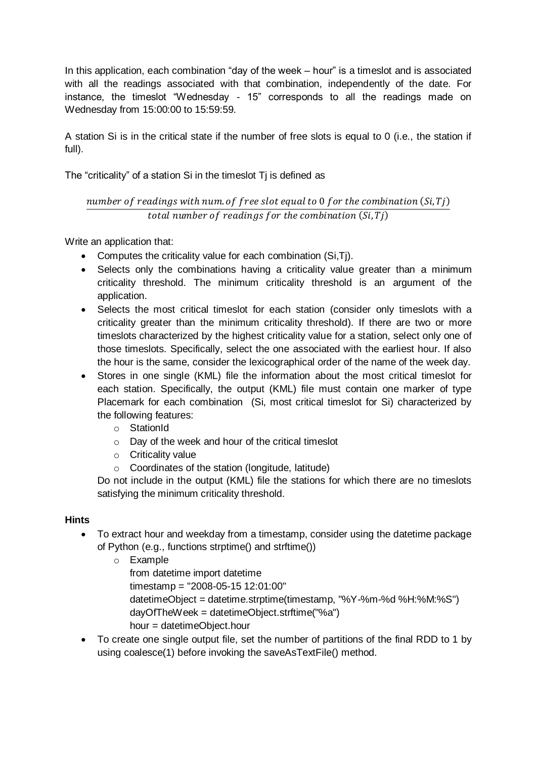In this application, each combination "day of the week – hour" is a timeslot and is associated with all the readings associated with that combination, independently of the date. For instance, the timeslot "Wednesday - 15" corresponds to all the readings made on Wednesday from 15:00:00 to 15:59:59.

A station Si is in the critical state if the number of free slots is equal to 0 (i.e., the station if full).

The "criticality" of a station Si in the timeslot Tj is defined as

### number of readings with num of free slot equal to 0 for the combination  $(Si, Ti)$ total number of readings for the combination  $(S_i, T_j)$

Write an application that:

- Computes the criticality value for each combination (Si,Tj).
- Selects only the combinations having a criticality value greater than a minimum criticality threshold. The minimum criticality threshold is an argument of the application.
- Selects the most critical timeslot for each station (consider only timeslots with a criticality greater than the minimum criticality threshold). If there are two or more timeslots characterized by the highest criticality value for a station, select only one of those timeslots. Specifically, select the one associated with the earliest hour. If also the hour is the same, consider the lexicographical order of the name of the week day.
- Stores in one single (KML) file the information about the most critical timeslot for each station. Specifically, the output (KML) file must contain one marker of type Placemark for each combination (Si, most critical timeslot for Si) characterized by the following features:
	- o StationId
	- o Day of the week and hour of the critical timeslot
	- $\circ$  Criticality value
	- o Coordinates of the station (longitude, latitude)

Do not include in the output (KML) file the stations for which there are no timeslots satisfying the minimum criticality threshold.

#### **Hints**

- To extract hour and weekday from a timestamp, consider using the datetime package of Python (e.g., functions strptime() and strftime())
	- o Example
		- from datetime import datetime timestamp = "2008-05-15 12:01:00" datetimeObject = datetime.strptime(timestamp, "%Y-%m-%d %H:%M:%S") dayOfTheWeek = datetimeObject.strftime("%a") hour = datetimeObject.hour
- To create one single output file, set the number of partitions of the final RDD to 1 by using coalesce(1) before invoking the saveAsTextFile() method.